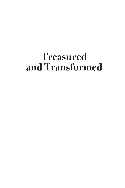## **Treasured and Transformed**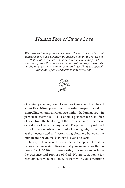## *Human Face of Divine Love*

*We need all the help we can get from the world's artists to get glimpses into what we mean by Incarnation, by the revelation that God's presence can be detected in everything and everybody, that there is a sheen and a shimmering of divinity in the most ordinary moments of our lives. There are special films that open our hearts to that revelation.*



One wintry evening I went to see *Les Miserables*. I had heard about its spiritual power, its contrasting images of God, its compelling emotional resonance within the human soul. In particular, the words 'To love another person is to see the face of God' from the final song of the film seem to reverberate at ever-deeper levels in many hearts. People sense a profound truth in these words without quite knowing why. They hint at the unsuspected and astonishing closeness between the human and the divine, between heaven and earth.

To say 'I love you' to someone, some spiritual writers believe, is like saying 'Rejoice that your name is written in heaven' (Lk 10:20). In these earthly graces we experience the presence and promise of God. We are sacraments for each other, carriers of divinity, radiant with God's incarnate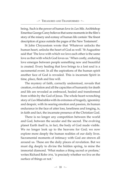being. Such is the power of human love in *Les Mis*. Archbishop Emeritus George Carey believes that some moments in the film's story of the misery and ecstasy of human life contain 'the finest description of grace outside the pages of the New Testament'.

St John Chrysostom wrote that 'Whatever unlocks the human heart, unlocks the heart of God as well.' St Augustine said that 'The love with which we love each other is the same love as that with which God loves us.' When costly, enduring love emerges between people something new and beautiful is created. Every healing that love brings to a lost soul is a sacramental event. In all the aspirations of the human spirit another face of God is revealed. This is incarnate Spirit in time, place, flesh and free will.

The mystery of faith, correctly understood, reveals that creation, evolution and all the capacities of humanity for death and life are revealed as embraced, healed and transformed from within by the God of Jesus. The whole heart-wrenching story of *Les Misérables* with its extremes of tragedy, ignominy and despair, with its searing emotion and passion, its human endurance in the face of utter loss, loneliness and longing, is, in faith and fact, the incarnate presence of the Christian God.

There is no longer any competition between the world and God, between the secular and the sacred. The evolving planet Earth itself is, in fact, the body of God made visible. We no longer look up to the heavens for God; we now explore more deeply the human realities of our daily lives. Sacramental moments of intimacy with God are strewn all around us. These are the daily places of revelation. But we must dig deeply to divine the hidden spring, to mine the immortal diamond. 'What makes a thing sacred or profane,' writes Richard Rohr OFM, 'is precisely whether we live on the surface of things or not.'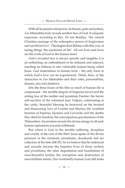With all its passion and power, its beauty, pain and pathos, *Les Misérables* truly reveals another face of God. It uniquely expresses, according to Rev. Dr Ian Bradley, 'the central Christian message of the redemptive power of forgiveness and sacrificial love'. Theologian Karl Rahner calls this way of seeing things 'the mysticism of life'. All our lives and loves are the work of God in the human heart.

God's revealed face is always specific and tangible; it is an enfleshing, an embodiment to be endured and enjoyed, reaching its fullness in one vulnerable human being called Jesus. God materialises in human form – the only form in which God's love can be experienced. Think, then, of the characters in *Les Misérables* and their roles, personalities, dreams, sins and shadows.

Into the three hours of the film so much of human life is compressed – the terrible despair of Inspector Javert and the aching loss of the mother and prostitute Fantine: the heroic self-sacrifice of the reformed Jean Valjean, culminating in the costly, beautiful blessing he bestowed on the bruised and blossoming love of Cosette and Marius; the youthful heroism of Enjolras, Eponine and Gavroche and the deaths they died for freedom; the unscrupulous gracelessness of the Thénardiers. Incarnation reveals the divine energy in all such human aspirations towards fulfilment.

But where is God in the terrible suffering, deception and cruelty at the core of the film? Jesus spoke of the divine presence in the criminals, prostitutes, drunkards and tax collectors of his time (Mt 25). So we believe that he embraced and actually became the hopeless lives of those urchins and prostitutes, the utter degradation and humiliation of once-beautiful bodies, the corruption and destruction of once-brilliant minds. Our wretchedly-human God still looks